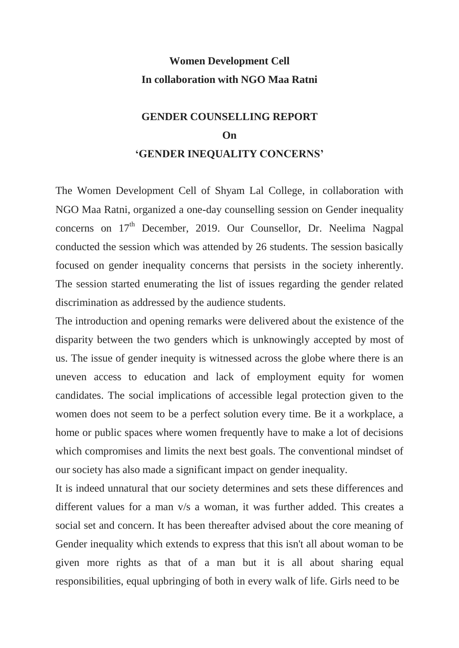## **Women Development Cell In collaboration with NGO Maa Ratni**

## **GENDER COUNSELLING REPORT On 'GENDER INEQUALITY CONCERNS'**

The Women Development Cell of Shyam Lal College, in collaboration with NGO Maa Ratni, organized a one-day counselling session on Gender inequality concerns on  $17<sup>th</sup>$  December, 2019. Our Counsellor, Dr. Neelima Nagpal conducted the session which was attended by 26 students. The session basically focused on gender inequality concerns that persists in the society inherently. The session started enumerating the list of issues regarding the gender related discrimination as addressed by the audience students.

The introduction and opening remarks were delivered about the existence of the disparity between the two genders which is unknowingly accepted by most of us. The issue of gender inequity is witnessed across the globe where there is an uneven access to education and lack of employment equity for women candidates. The social implications of accessible legal protection given to the women does not seem to be a perfect solution every time. Be it a workplace, a home or public spaces where women frequently have to make a lot of decisions which compromises and limits the next best goals. The conventional mindset of our society has also made a significant impact on gender inequality.

It is indeed unnatural that our society determines and sets these differences and different values for a man v/s a woman, it was further added. This creates a social set and concern. It has been thereafter advised about the core meaning of Gender inequality which extends to express that this isn't all about woman to be given more rights as that of a man but it is all about sharing equal responsibilities, equal upbringing of both in every walk of life. Girls need to be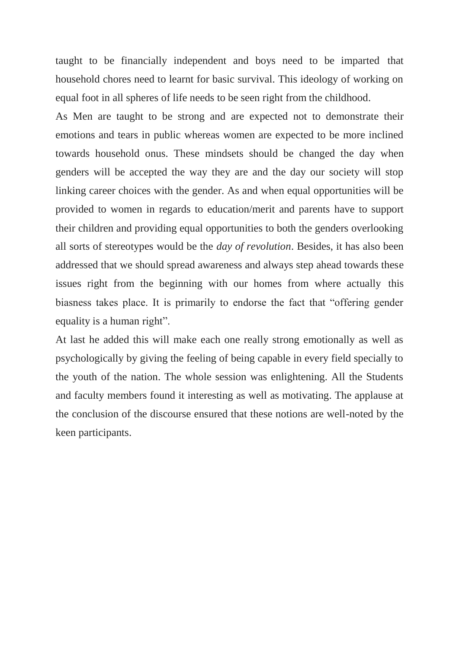taught to be financially independent and boys need to be imparted that household chores need to learnt for basic survival. This ideology of working on equal foot in all spheres of life needs to be seen right from the childhood.

As Men are taught to be strong and are expected not to demonstrate their emotions and tears in public whereas women are expected to be more inclined towards household onus. These mindsets should be changed the day when genders will be accepted the way they are and the day our society will stop linking career choices with the gender. As and when equal opportunities will be provided to women in regards to education/merit and parents have to support their children and providing equal opportunities to both the genders overlooking all sorts of stereotypes would be the *day of revolution*. Besides, it has also been addressed that we should spread awareness and always step ahead towards these issues right from the beginning with our homes from where actually this biasness takes place. It is primarily to endorse the fact that "offering gender equality is a human right".

At last he added this will make each one really strong emotionally as well as psychologically by giving the feeling of being capable in every field specially to the youth of the nation. The whole session was enlightening. All the Students and faculty members found it interesting as well as motivating. The applause at the conclusion of the discourse ensured that these notions are well-noted by the keen participants.